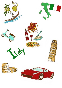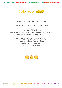BUONGIORNO GOOD MORNING BUON POMERIGGIO GOOD AFTERNOON

# COSA VUOI BERE?

EAGER PRESSED APPLE JUICE £2.00

SPARKLING CIPRIANI PEACH BELLINI £3.00

STRAWBERRY SMASH £2.50 Apple Juice, Strawberry Puree, Lemon Juice & Mint Shaken & Served over Crushed Ice

> HOMEMADE LIME AND LEMONADE £2.50 Fresh lime, Fresh Lemon, Sugar Served over Crushed Ice Topped up with Soda



BIANCO GIALLO ARANCIONE ROSA MAGENTA VIOLA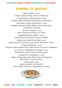#### BUONASERA GOOD EVENING BUONANOTTE GOOD NIGHT

## MAMMA, SE MAGNA!

ANELLI DORATI £6.00 Crispy Calamari Rings, Lemon & Mayo Dip (V) BRUSCHETTA MARGHERITA £3.50 Tomato, Basil & Melted Mozzarella Bruschetta FILETTINI DI POLLO CROCCANTE £6.50 Breaded Chicken Breast Strips, Tomato Ketchup With Skin-on-Fries PICCOLO BURGER £6.50 With Tomato Dip & Skin-on-Fries BRANZINO MILLE COLORI £6.50 Grilled Sea Bass Fillet, Broccoli & Mash CANNELLONI BRACCIO DI FERRO £6.00 Baked Spinach & Ricotta Cannelloni, Parmesan Sauce PIZZA PULCINELLA £6.00 Tomato & Mozzarella Pizza with choice of Ham or Pepperoni (V) PASTA AL POMODORO DI NONNA £6.00 Maccheroni with Tomato & Basil Sauce LASAGNETTA CLARABELLA £6.00 Layers of Egg Pasta with Mozzarella, Bolognese, Bechamel & Tomato Sauce

ROAST BEEF £8.50 (ONLY AVAILBLE ON SUNDAYS) With Roast Potatoes, Vegetables & Gravy



ROSSO BLU AZZURRO VERDE MARRONE GRIGIO **NERO**